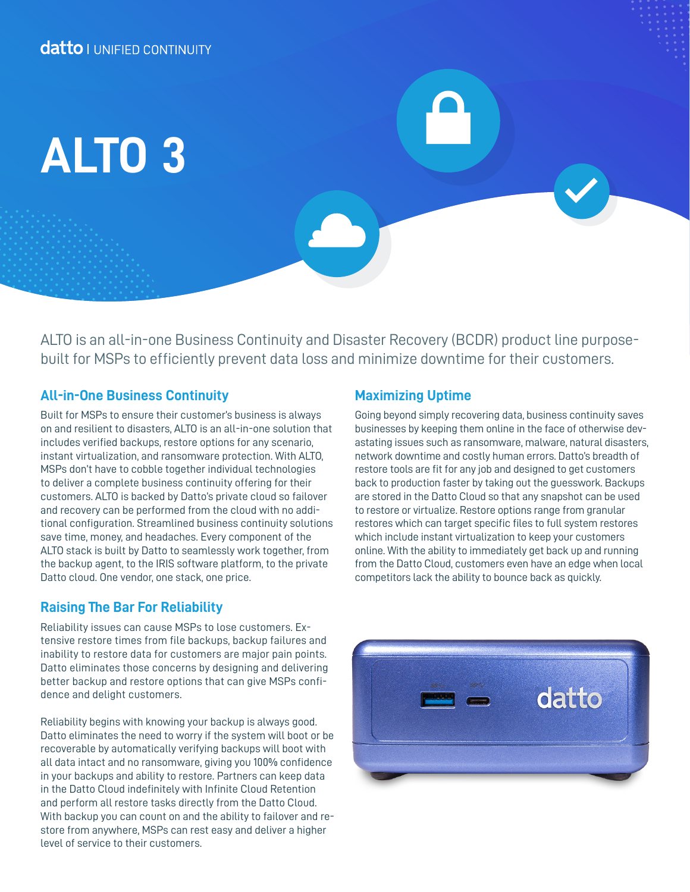# **ALTO 3**

ALTO is an all-in-one Business Continuity and Disaster Recovery (BCDR) product line purposebuilt for MSPs to efficiently prevent data loss and minimize downtime for their customers.

### **All-in-One Business Continuity**

Built for MSPs to ensure their customer's business is always on and resilient to disasters, ALTO is an all-in-one solution that includes verified backups, restore options for any scenario, instant virtualization, and ransomware protection. With ALTO, MSPs don't have to cobble together individual technologies to deliver a complete business continuity offering for their customers. ALTO is backed by Datto's private cloud so failover and recovery can be performed from the cloud with no additional configuration. Streamlined business continuity solutions save time, money, and headaches. Every component of the ALTO stack is built by Datto to seamlessly work together, from the backup agent, to the IRIS software platform, to the private Datto cloud. One vendor, one stack, one price.

# **Raising The Bar For Reliability**

Reliability issues can cause MSPs to lose customers. Extensive restore times from file backups, backup failures and inability to restore data for customers are major pain points. Datto eliminates those concerns by designing and delivering better backup and restore options that can give MSPs confidence and delight customers.

Reliability begins with knowing your backup is always good. Datto eliminates the need to worry if the system will boot or be recoverable by automatically verifying backups will boot with all data intact and no ransomware, giving you 100% confidence in your backups and ability to restore. Partners can keep data in the Datto Cloud indefinitely with Infinite Cloud Retention and perform all restore tasks directly from the Datto Cloud. With backup you can count on and the ability to failover and restore from anywhere, MSPs can rest easy and deliver a higher level of service to their customers.

## **Maximizing Uptime**

Going beyond simply recovering data, business continuity saves businesses by keeping them online in the face of otherwise devastating issues such as ransomware, malware, natural disasters, network downtime and costly human errors. Datto's breadth of restore tools are fit for any job and designed to get customers back to production faster by taking out the guesswork. Backups are stored in the Datto Cloud so that any snapshot can be used to restore or virtualize. Restore options range from granular restores which can target specific files to full system restores which include instant virtualization to keep your customers online. With the ability to immediately get back up and running from the Datto Cloud, customers even have an edge when local competitors lack the ability to bounce back as quickly.